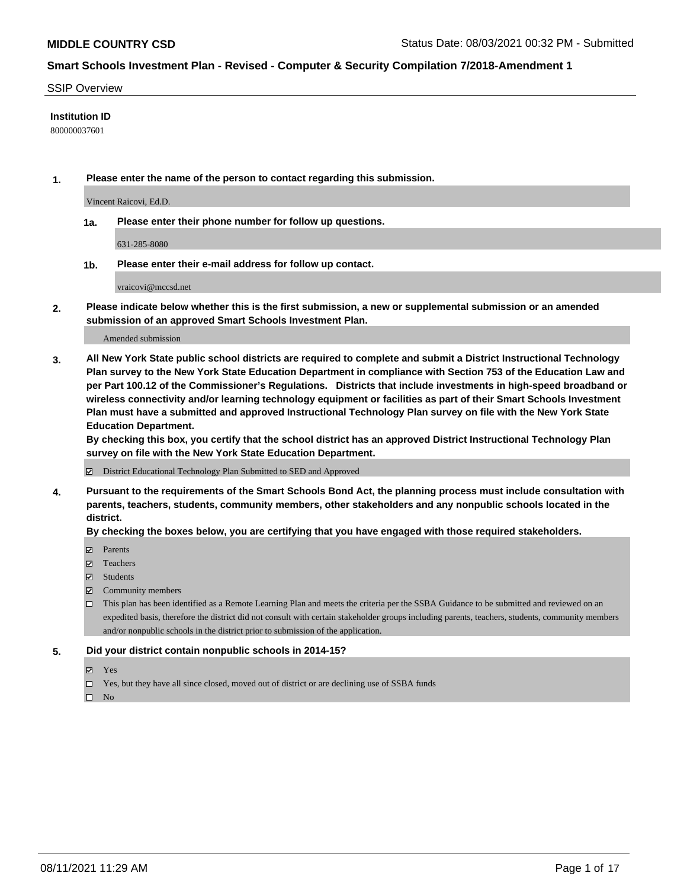#### SSIP Overview

### **Institution ID**

800000037601

**1. Please enter the name of the person to contact regarding this submission.**

Vincent Raicovi, Ed.D.

**1a. Please enter their phone number for follow up questions.**

631-285-8080

**1b. Please enter their e-mail address for follow up contact.**

vraicovi@mccsd.net

**2. Please indicate below whether this is the first submission, a new or supplemental submission or an amended submission of an approved Smart Schools Investment Plan.**

#### Amended submission

**3. All New York State public school districts are required to complete and submit a District Instructional Technology Plan survey to the New York State Education Department in compliance with Section 753 of the Education Law and per Part 100.12 of the Commissioner's Regulations. Districts that include investments in high-speed broadband or wireless connectivity and/or learning technology equipment or facilities as part of their Smart Schools Investment Plan must have a submitted and approved Instructional Technology Plan survey on file with the New York State Education Department.** 

**By checking this box, you certify that the school district has an approved District Instructional Technology Plan survey on file with the New York State Education Department.**

District Educational Technology Plan Submitted to SED and Approved

**4. Pursuant to the requirements of the Smart Schools Bond Act, the planning process must include consultation with parents, teachers, students, community members, other stakeholders and any nonpublic schools located in the district.** 

### **By checking the boxes below, you are certifying that you have engaged with those required stakeholders.**

- **Parents**
- Teachers
- Students
- $\boxtimes$  Community members
- This plan has been identified as a Remote Learning Plan and meets the criteria per the SSBA Guidance to be submitted and reviewed on an expedited basis, therefore the district did not consult with certain stakeholder groups including parents, teachers, students, community members and/or nonpublic schools in the district prior to submission of the application.
- **5. Did your district contain nonpublic schools in 2014-15?**
	- Yes
	- □ Yes, but they have all since closed, moved out of district or are declining use of SSBA funds

 $\hfill \square$  No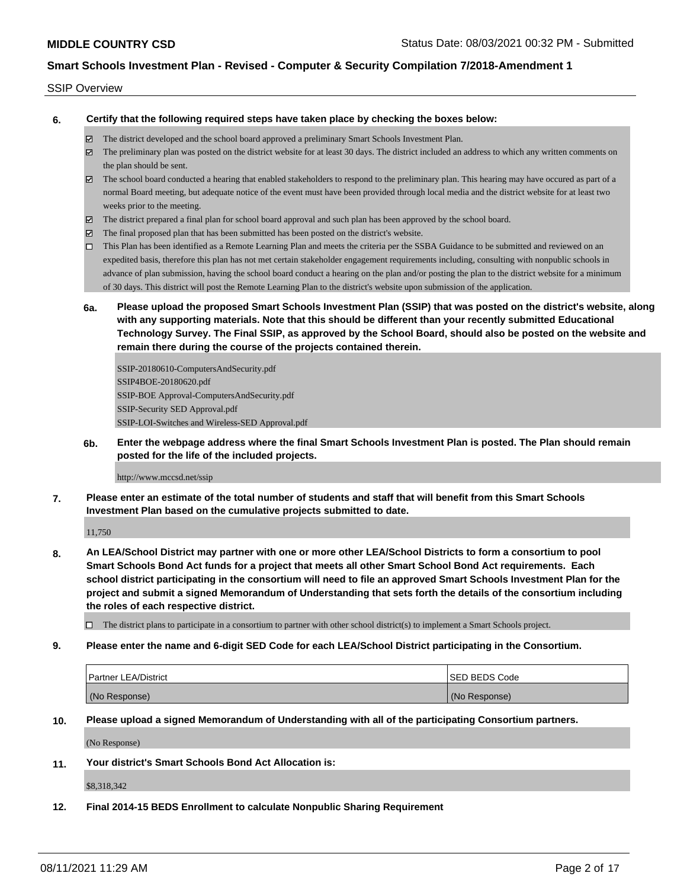#### SSIP Overview

**6. Certify that the following required steps have taken place by checking the boxes below:**

- The district developed and the school board approved a preliminary Smart Schools Investment Plan.
- $\boxtimes$  The preliminary plan was posted on the district website for at least 30 days. The district included an address to which any written comments on the plan should be sent.
- The school board conducted a hearing that enabled stakeholders to respond to the preliminary plan. This hearing may have occured as part of a normal Board meeting, but adequate notice of the event must have been provided through local media and the district website for at least two weeks prior to the meeting.
- The district prepared a final plan for school board approval and such plan has been approved by the school board.
- $\boxtimes$  The final proposed plan that has been submitted has been posted on the district's website.
- This Plan has been identified as a Remote Learning Plan and meets the criteria per the SSBA Guidance to be submitted and reviewed on an expedited basis, therefore this plan has not met certain stakeholder engagement requirements including, consulting with nonpublic schools in advance of plan submission, having the school board conduct a hearing on the plan and/or posting the plan to the district website for a minimum of 30 days. This district will post the Remote Learning Plan to the district's website upon submission of the application.
- **6a. Please upload the proposed Smart Schools Investment Plan (SSIP) that was posted on the district's website, along with any supporting materials. Note that this should be different than your recently submitted Educational Technology Survey. The Final SSIP, as approved by the School Board, should also be posted on the website and remain there during the course of the projects contained therein.**

SSIP-20180610-ComputersAndSecurity.pdf SSIP4BOE-20180620.pdf SSIP-BOE Approval-ComputersAndSecurity.pdf SSIP-Security SED Approval.pdf SSIP-LOI-Switches and Wireless-SED Approval.pdf

**6b. Enter the webpage address where the final Smart Schools Investment Plan is posted. The Plan should remain posted for the life of the included projects.**

http://www.mccsd.net/ssip

**7. Please enter an estimate of the total number of students and staff that will benefit from this Smart Schools Investment Plan based on the cumulative projects submitted to date.**

11,750

**8. An LEA/School District may partner with one or more other LEA/School Districts to form a consortium to pool Smart Schools Bond Act funds for a project that meets all other Smart School Bond Act requirements. Each school district participating in the consortium will need to file an approved Smart Schools Investment Plan for the project and submit a signed Memorandum of Understanding that sets forth the details of the consortium including the roles of each respective district.**

 $\Box$  The district plans to participate in a consortium to partner with other school district(s) to implement a Smart Schools project.

**9. Please enter the name and 6-digit SED Code for each LEA/School District participating in the Consortium.**

| <b>Partner LEA/District</b> | <b>ISED BEDS Code</b> |
|-----------------------------|-----------------------|
| (No Response)               | (No Response)         |

**10. Please upload a signed Memorandum of Understanding with all of the participating Consortium partners.**

(No Response)

**11. Your district's Smart Schools Bond Act Allocation is:**

\$8,318,342

**12. Final 2014-15 BEDS Enrollment to calculate Nonpublic Sharing Requirement**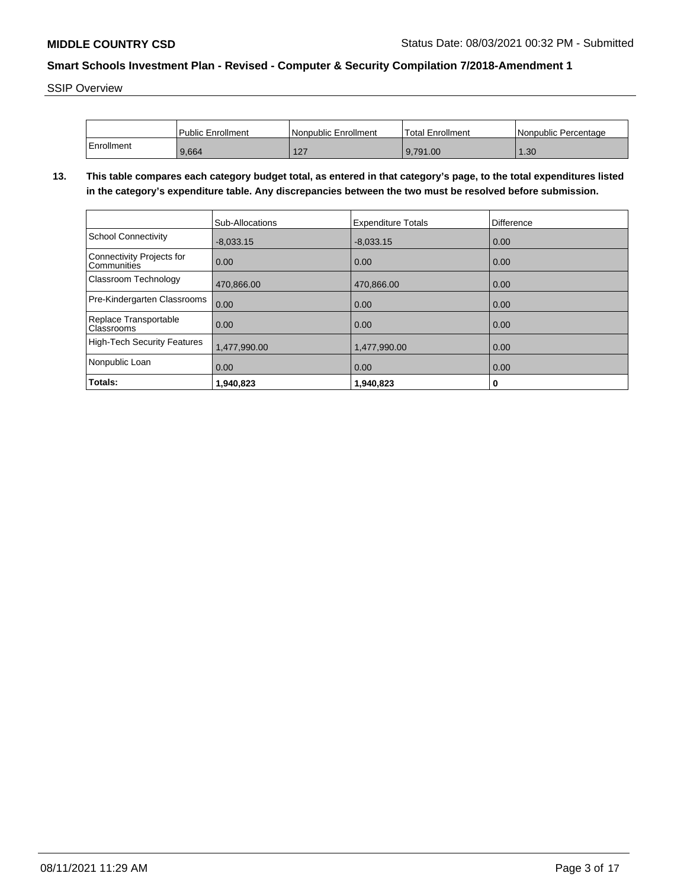SSIP Overview

|            | Public Enrollment | Nonpublic Enrollment | 'Total Enrollment | <b>Nonpublic Percentage</b> |
|------------|-------------------|----------------------|-------------------|-----------------------------|
| Enrollment | 9,664             | 127<br>' – '         | 9.791.00          | .30 <sub>2</sub>            |

**13. This table compares each category budget total, as entered in that category's page, to the total expenditures listed in the category's expenditure table. Any discrepancies between the two must be resolved before submission.**

|                                                 | <b>Sub-Allocations</b> | <b>Expenditure Totals</b> | Difference |
|-------------------------------------------------|------------------------|---------------------------|------------|
| <b>School Connectivity</b>                      | $-8,033.15$            | $-8.033.15$               | 0.00       |
| <b>Connectivity Projects for</b><br>Communities | 0.00                   | 0.00                      | 0.00       |
| Classroom Technology                            | 470,866.00             | 470,866.00                | 0.00       |
| Pre-Kindergarten Classrooms                     | 0.00                   | 0.00                      | 0.00       |
| Replace Transportable<br>Classrooms             | 0.00                   | 0.00                      | 0.00       |
| <b>High-Tech Security Features</b>              | 1,477,990.00           | 1,477,990.00              | 0.00       |
| Nonpublic Loan                                  | 0.00                   | 0.00                      | 0.00       |
| Totals:                                         | 1,940,823              | 1,940,823                 | 0          |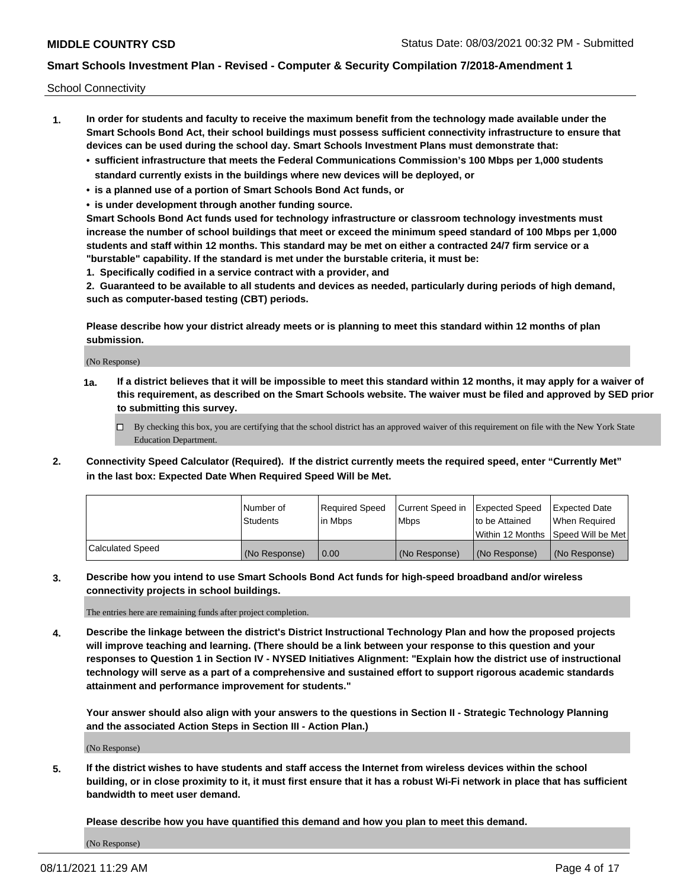School Connectivity

- **1. In order for students and faculty to receive the maximum benefit from the technology made available under the Smart Schools Bond Act, their school buildings must possess sufficient connectivity infrastructure to ensure that devices can be used during the school day. Smart Schools Investment Plans must demonstrate that:**
	- **• sufficient infrastructure that meets the Federal Communications Commission's 100 Mbps per 1,000 students standard currently exists in the buildings where new devices will be deployed, or**
	- **• is a planned use of a portion of Smart Schools Bond Act funds, or**
	- **• is under development through another funding source.**

**Smart Schools Bond Act funds used for technology infrastructure or classroom technology investments must increase the number of school buildings that meet or exceed the minimum speed standard of 100 Mbps per 1,000 students and staff within 12 months. This standard may be met on either a contracted 24/7 firm service or a "burstable" capability. If the standard is met under the burstable criteria, it must be:**

**1. Specifically codified in a service contract with a provider, and**

**2. Guaranteed to be available to all students and devices as needed, particularly during periods of high demand, such as computer-based testing (CBT) periods.**

**Please describe how your district already meets or is planning to meet this standard within 12 months of plan submission.**

(No Response)

**1a. If a district believes that it will be impossible to meet this standard within 12 months, it may apply for a waiver of this requirement, as described on the Smart Schools website. The waiver must be filed and approved by SED prior to submitting this survey.**

 $\Box$  By checking this box, you are certifying that the school district has an approved waiver of this requirement on file with the New York State Education Department.

**2. Connectivity Speed Calculator (Required). If the district currently meets the required speed, enter "Currently Met" in the last box: Expected Date When Required Speed Will be Met.**

|                  | l Number of     | Required Speed | Current Speed in | Expected Speed | Expected Date                           |
|------------------|-----------------|----------------|------------------|----------------|-----------------------------------------|
|                  | <b>Students</b> | In Mbps        | l Mbps           | to be Attained | When Required                           |
|                  |                 |                |                  |                | l Within 12 Months ISpeed Will be Met l |
| Calculated Speed | (No Response)   | 0.00           | (No Response)    | (No Response)  | (No Response)                           |

**3. Describe how you intend to use Smart Schools Bond Act funds for high-speed broadband and/or wireless connectivity projects in school buildings.**

The entries here are remaining funds after project completion.

**4. Describe the linkage between the district's District Instructional Technology Plan and how the proposed projects will improve teaching and learning. (There should be a link between your response to this question and your responses to Question 1 in Section IV - NYSED Initiatives Alignment: "Explain how the district use of instructional technology will serve as a part of a comprehensive and sustained effort to support rigorous academic standards attainment and performance improvement for students."** 

**Your answer should also align with your answers to the questions in Section II - Strategic Technology Planning and the associated Action Steps in Section III - Action Plan.)**

(No Response)

**5. If the district wishes to have students and staff access the Internet from wireless devices within the school building, or in close proximity to it, it must first ensure that it has a robust Wi-Fi network in place that has sufficient bandwidth to meet user demand.**

**Please describe how you have quantified this demand and how you plan to meet this demand.**

(No Response)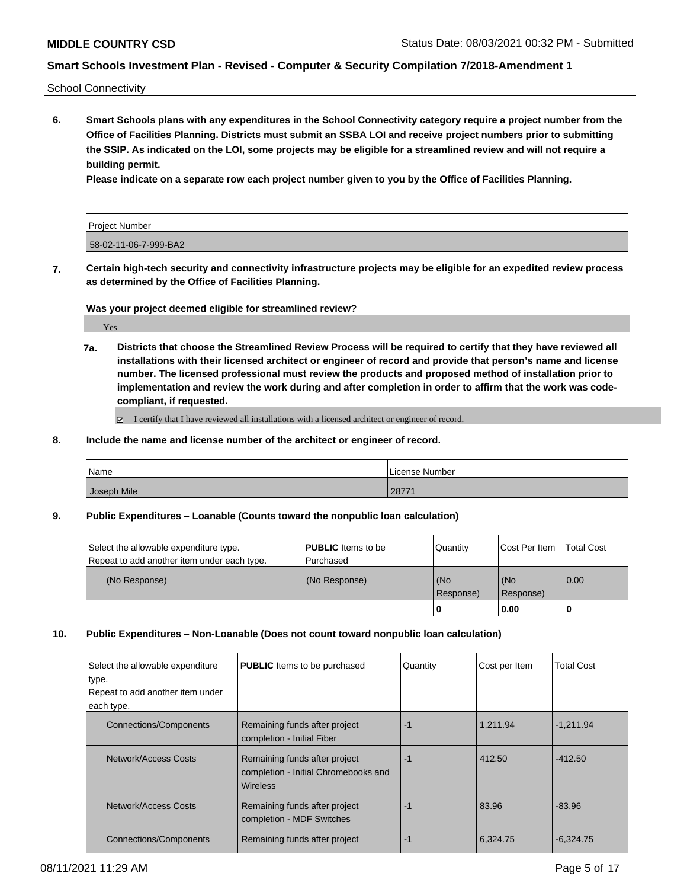School Connectivity

**6. Smart Schools plans with any expenditures in the School Connectivity category require a project number from the Office of Facilities Planning. Districts must submit an SSBA LOI and receive project numbers prior to submitting the SSIP. As indicated on the LOI, some projects may be eligible for a streamlined review and will not require a building permit.**

**Please indicate on a separate row each project number given to you by the Office of Facilities Planning.**

| Project Number        |  |
|-----------------------|--|
| 58-02-11-06-7-999-BA2 |  |

**7. Certain high-tech security and connectivity infrastructure projects may be eligible for an expedited review process as determined by the Office of Facilities Planning.**

**Was your project deemed eligible for streamlined review?**

Yes

**7a. Districts that choose the Streamlined Review Process will be required to certify that they have reviewed all installations with their licensed architect or engineer of record and provide that person's name and license number. The licensed professional must review the products and proposed method of installation prior to implementation and review the work during and after completion in order to affirm that the work was codecompliant, if requested.**

 $\boxtimes$  I certify that I have reviewed all installations with a licensed architect or engineer of record.

**8. Include the name and license number of the architect or engineer of record.**

| Name        | License Number |
|-------------|----------------|
| Joseph Mile | 2977<br>2011 L |

**9. Public Expenditures – Loanable (Counts toward the nonpublic loan calculation)**

| Select the allowable expenditure type.      | <b>PUBLIC</b> Items to be | Quantity             | Cost Per Item    | <b>Total Cost</b> |
|---------------------------------------------|---------------------------|----------------------|------------------|-------------------|
| Repeat to add another item under each type. | Purchased                 |                      |                  |                   |
| (No Response)                               | (No Response)             | l (No<br>l Response) | (No<br>Response) | $\overline{0.00}$ |
|                                             |                           |                      | 0.00             |                   |

#### **10. Public Expenditures – Non-Loanable (Does not count toward nonpublic loan calculation)**

| Select the allowable expenditure<br>type.<br>Repeat to add another item under | <b>PUBLIC</b> Items to be purchased                                               | Quantity | Cost per Item | <b>Total Cost</b> |
|-------------------------------------------------------------------------------|-----------------------------------------------------------------------------------|----------|---------------|-------------------|
|                                                                               |                                                                                   |          |               |                   |
| each type.                                                                    |                                                                                   |          |               |                   |
| <b>Connections/Components</b>                                                 | Remaining funds after project<br>completion - Initial Fiber                       | -1       | 1.211.94      | $-1.211.94$       |
| Network/Access Costs                                                          | Remaining funds after project<br>completion - Initial Chromebooks and<br>Wireless | -1       | 412.50        | $-412.50$         |
| Network/Access Costs                                                          | Remaining funds after project<br>completion - MDF Switches                        | -1       | 83.96         | $-83.96$          |
| <b>Connections/Components</b>                                                 | Remaining funds after project                                                     | -1       | 6,324.75      | $-6,324.75$       |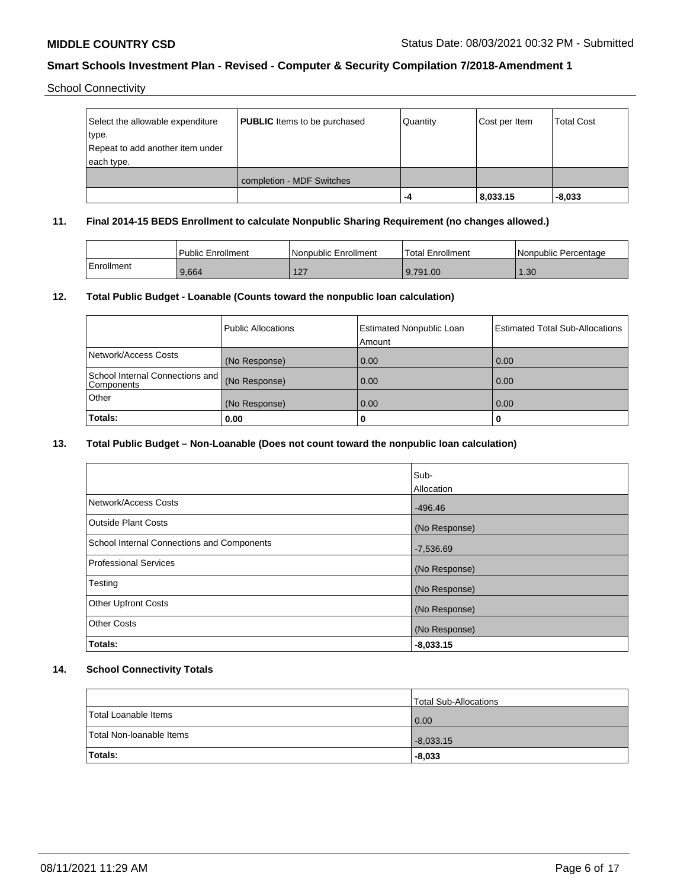School Connectivity

| Select the allowable expenditure<br>type.<br>Repeat to add another item under<br>each type. | <b>PUBLIC</b> Items to be purchased | Quantity | Cost per Item | <b>Total Cost</b> |
|---------------------------------------------------------------------------------------------|-------------------------------------|----------|---------------|-------------------|
|                                                                                             | completion - MDF Switches           |          |               |                   |
|                                                                                             |                                     | -4       | 8,033.15      | $-8,033$          |

### **11. Final 2014-15 BEDS Enrollment to calculate Nonpublic Sharing Requirement (no changes allowed.)**

|            | Public Enrollment | l Nonpublic Enrollment | <b>Total Enrollment</b> | I Nonpublic Percentage |
|------------|-------------------|------------------------|-------------------------|------------------------|
| Enrollment | 9,664             | 127<br>╶               | 9.791.00                | .30 <sub>1</sub>       |

### **12. Total Public Budget - Loanable (Counts toward the nonpublic loan calculation)**

|                                                 | Public Allocations | <b>Estimated Nonpublic Loan</b><br>Amount | <b>Estimated Total Sub-Allocations</b> |
|-------------------------------------------------|--------------------|-------------------------------------------|----------------------------------------|
| Network/Access Costs                            | (No Response)      | 0.00                                      | 0.00                                   |
| School Internal Connections and  <br>Components | (No Response)      | 0.00                                      | 0.00                                   |
| <b>Other</b>                                    | (No Response)      | 0.00                                      | 0.00                                   |
| Totals:                                         | 0.00               | 0                                         |                                        |

### **13. Total Public Budget – Non-Loanable (Does not count toward the nonpublic loan calculation)**

|                                            | Sub-          |
|--------------------------------------------|---------------|
|                                            | Allocation    |
| Network/Access Costs                       | $-496.46$     |
| <b>Outside Plant Costs</b>                 | (No Response) |
| School Internal Connections and Components | $-7,536.69$   |
| Professional Services                      | (No Response) |
| Testing                                    | (No Response) |
| <b>Other Upfront Costs</b>                 | (No Response) |
| <b>Other Costs</b>                         | (No Response) |
| Totals:                                    | $-8,033.15$   |

### **14. School Connectivity Totals**

|                          | Total Sub-Allocations |
|--------------------------|-----------------------|
| Total Loanable Items     | 0.00                  |
| Total Non-Ioanable Items | $-8,033.15$           |
| Totals:                  | $-8,033$              |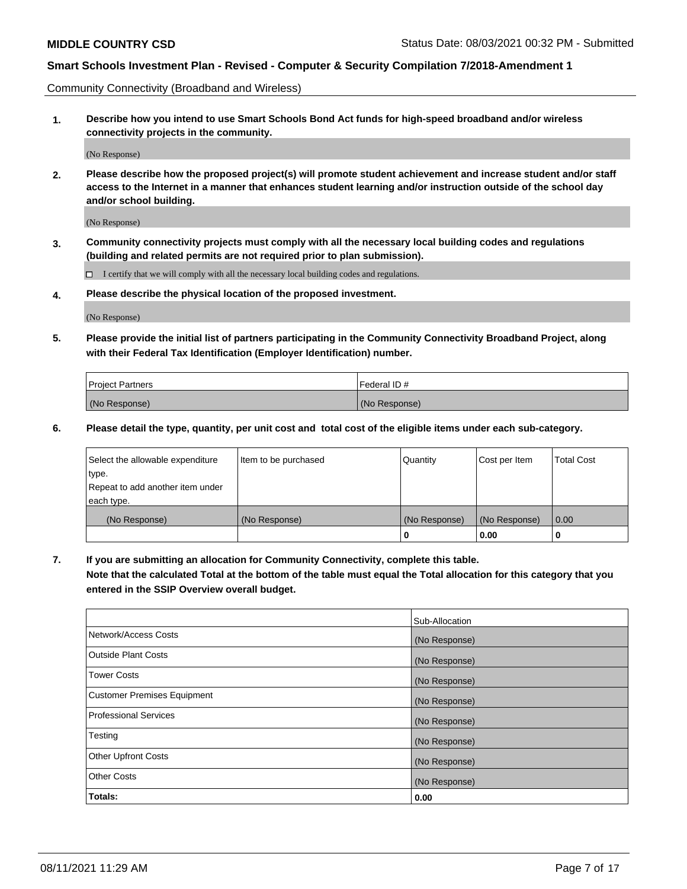Community Connectivity (Broadband and Wireless)

**1. Describe how you intend to use Smart Schools Bond Act funds for high-speed broadband and/or wireless connectivity projects in the community.**

(No Response)

**2. Please describe how the proposed project(s) will promote student achievement and increase student and/or staff access to the Internet in a manner that enhances student learning and/or instruction outside of the school day and/or school building.**

(No Response)

**3. Community connectivity projects must comply with all the necessary local building codes and regulations (building and related permits are not required prior to plan submission).**

 $\Box$  I certify that we will comply with all the necessary local building codes and regulations.

**4. Please describe the physical location of the proposed investment.**

(No Response)

**5. Please provide the initial list of partners participating in the Community Connectivity Broadband Project, along with their Federal Tax Identification (Employer Identification) number.**

| <b>Project Partners</b> | l Federal ID # |
|-------------------------|----------------|
| (No Response)           | (No Response)  |

**6. Please detail the type, quantity, per unit cost and total cost of the eligible items under each sub-category.**

| Select the allowable expenditure | Item to be purchased | Quantity      | Cost per Item | <b>Total Cost</b> |
|----------------------------------|----------------------|---------------|---------------|-------------------|
| type.                            |                      |               |               |                   |
| Repeat to add another item under |                      |               |               |                   |
| each type.                       |                      |               |               |                   |
| (No Response)                    | (No Response)        | (No Response) | (No Response) | 0.00              |
|                                  |                      | o             | 0.00          |                   |

**7. If you are submitting an allocation for Community Connectivity, complete this table.**

**Note that the calculated Total at the bottom of the table must equal the Total allocation for this category that you entered in the SSIP Overview overall budget.**

|                                    | Sub-Allocation |
|------------------------------------|----------------|
| Network/Access Costs               | (No Response)  |
| Outside Plant Costs                | (No Response)  |
| <b>Tower Costs</b>                 | (No Response)  |
| <b>Customer Premises Equipment</b> | (No Response)  |
| <b>Professional Services</b>       | (No Response)  |
| Testing                            | (No Response)  |
| <b>Other Upfront Costs</b>         | (No Response)  |
| <b>Other Costs</b>                 | (No Response)  |
| Totals:                            | 0.00           |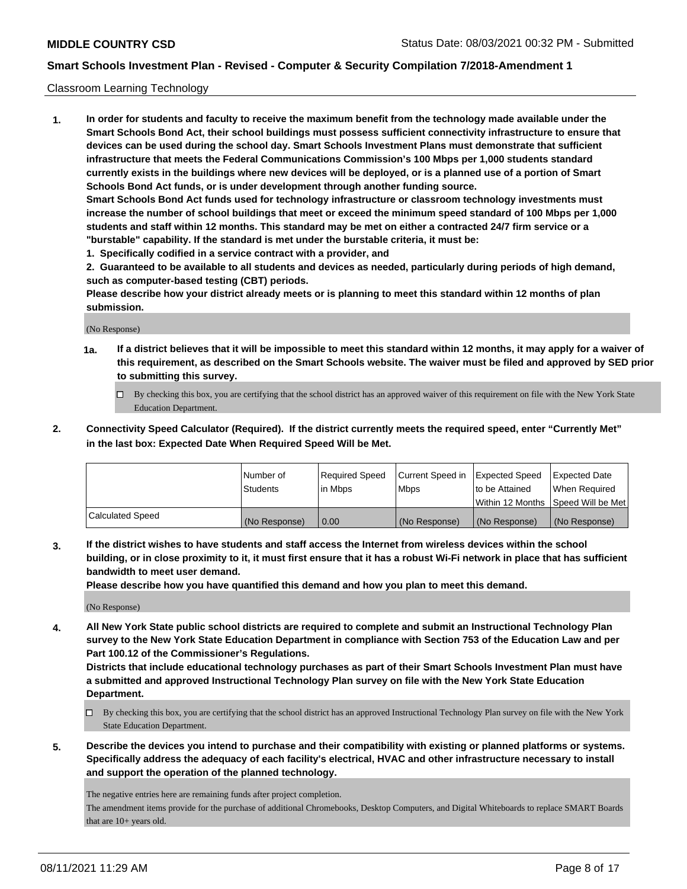#### Classroom Learning Technology

**1. In order for students and faculty to receive the maximum benefit from the technology made available under the Smart Schools Bond Act, their school buildings must possess sufficient connectivity infrastructure to ensure that devices can be used during the school day. Smart Schools Investment Plans must demonstrate that sufficient infrastructure that meets the Federal Communications Commission's 100 Mbps per 1,000 students standard currently exists in the buildings where new devices will be deployed, or is a planned use of a portion of Smart Schools Bond Act funds, or is under development through another funding source. Smart Schools Bond Act funds used for technology infrastructure or classroom technology investments must increase the number of school buildings that meet or exceed the minimum speed standard of 100 Mbps per 1,000 students and staff within 12 months. This standard may be met on either a contracted 24/7 firm service or a "burstable" capability. If the standard is met under the burstable criteria, it must be:**

**1. Specifically codified in a service contract with a provider, and**

**2. Guaranteed to be available to all students and devices as needed, particularly during periods of high demand, such as computer-based testing (CBT) periods.**

**Please describe how your district already meets or is planning to meet this standard within 12 months of plan submission.**

(No Response)

- **1a. If a district believes that it will be impossible to meet this standard within 12 months, it may apply for a waiver of this requirement, as described on the Smart Schools website. The waiver must be filed and approved by SED prior to submitting this survey.**
	- By checking this box, you are certifying that the school district has an approved waiver of this requirement on file with the New York State Education Department.
- **2. Connectivity Speed Calculator (Required). If the district currently meets the required speed, enter "Currently Met" in the last box: Expected Date When Required Speed Will be Met.**

|                  | l Number of     | Required Speed | Current Speed in | <b>Expected Speed</b> | <b>Expected Date</b>                |
|------------------|-----------------|----------------|------------------|-----------------------|-------------------------------------|
|                  | <b>Students</b> | l in Mbps      | l Mbps           | to be Attained        | When Required                       |
|                  |                 |                |                  |                       | Within 12 Months  Speed Will be Met |
| Calculated Speed | (No Response)   | 0.00           | (No Response)    | l (No Response)       | (No Response)                       |

**3. If the district wishes to have students and staff access the Internet from wireless devices within the school building, or in close proximity to it, it must first ensure that it has a robust Wi-Fi network in place that has sufficient bandwidth to meet user demand.**

**Please describe how you have quantified this demand and how you plan to meet this demand.**

(No Response)

**4. All New York State public school districts are required to complete and submit an Instructional Technology Plan survey to the New York State Education Department in compliance with Section 753 of the Education Law and per Part 100.12 of the Commissioner's Regulations.**

**Districts that include educational technology purchases as part of their Smart Schools Investment Plan must have a submitted and approved Instructional Technology Plan survey on file with the New York State Education Department.**

- By checking this box, you are certifying that the school district has an approved Instructional Technology Plan survey on file with the New York State Education Department.
- **5. Describe the devices you intend to purchase and their compatibility with existing or planned platforms or systems. Specifically address the adequacy of each facility's electrical, HVAC and other infrastructure necessary to install and support the operation of the planned technology.**

The negative entries here are remaining funds after project completion.

The amendment items provide for the purchase of additional Chromebooks, Desktop Computers, and Digital Whiteboards to replace SMART Boards that are 10+ years old.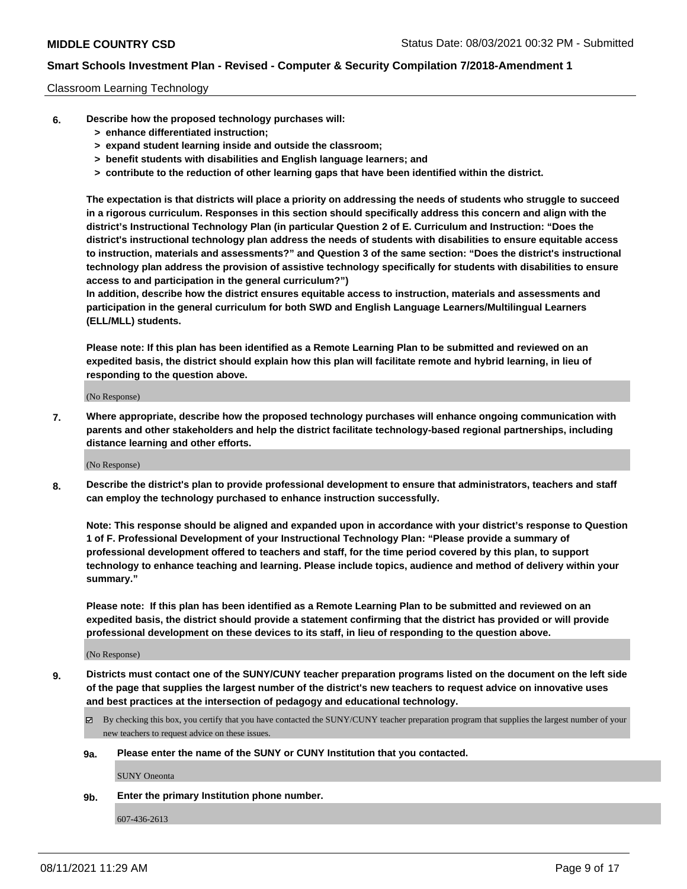#### Classroom Learning Technology

- **6. Describe how the proposed technology purchases will:**
	- **> enhance differentiated instruction;**
	- **> expand student learning inside and outside the classroom;**
	- **> benefit students with disabilities and English language learners; and**
	- **> contribute to the reduction of other learning gaps that have been identified within the district.**

**The expectation is that districts will place a priority on addressing the needs of students who struggle to succeed in a rigorous curriculum. Responses in this section should specifically address this concern and align with the district's Instructional Technology Plan (in particular Question 2 of E. Curriculum and Instruction: "Does the district's instructional technology plan address the needs of students with disabilities to ensure equitable access to instruction, materials and assessments?" and Question 3 of the same section: "Does the district's instructional technology plan address the provision of assistive technology specifically for students with disabilities to ensure access to and participation in the general curriculum?")**

**In addition, describe how the district ensures equitable access to instruction, materials and assessments and participation in the general curriculum for both SWD and English Language Learners/Multilingual Learners (ELL/MLL) students.**

**Please note: If this plan has been identified as a Remote Learning Plan to be submitted and reviewed on an expedited basis, the district should explain how this plan will facilitate remote and hybrid learning, in lieu of responding to the question above.**

(No Response)

**7. Where appropriate, describe how the proposed technology purchases will enhance ongoing communication with parents and other stakeholders and help the district facilitate technology-based regional partnerships, including distance learning and other efforts.**

(No Response)

**8. Describe the district's plan to provide professional development to ensure that administrators, teachers and staff can employ the technology purchased to enhance instruction successfully.**

**Note: This response should be aligned and expanded upon in accordance with your district's response to Question 1 of F. Professional Development of your Instructional Technology Plan: "Please provide a summary of professional development offered to teachers and staff, for the time period covered by this plan, to support technology to enhance teaching and learning. Please include topics, audience and method of delivery within your summary."**

**Please note: If this plan has been identified as a Remote Learning Plan to be submitted and reviewed on an expedited basis, the district should provide a statement confirming that the district has provided or will provide professional development on these devices to its staff, in lieu of responding to the question above.**

(No Response)

- **9. Districts must contact one of the SUNY/CUNY teacher preparation programs listed on the document on the left side of the page that supplies the largest number of the district's new teachers to request advice on innovative uses and best practices at the intersection of pedagogy and educational technology.**
	- $\boxtimes$  By checking this box, you certify that you have contacted the SUNY/CUNY teacher preparation program that supplies the largest number of your new teachers to request advice on these issues.

#### **9a. Please enter the name of the SUNY or CUNY Institution that you contacted.**

SUNY Oneonta

**9b. Enter the primary Institution phone number.**

607-436-2613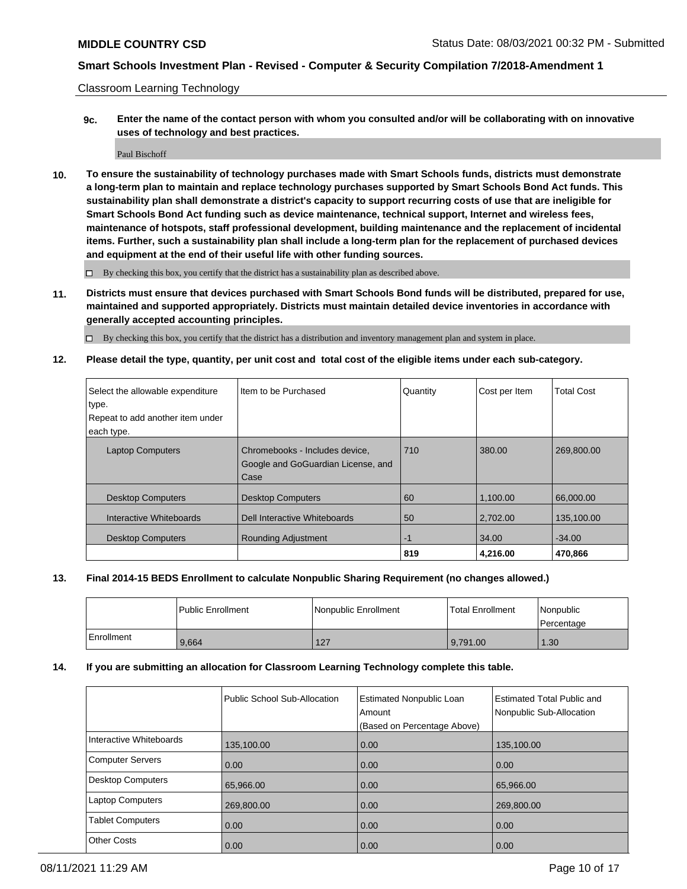Classroom Learning Technology

**9c. Enter the name of the contact person with whom you consulted and/or will be collaborating with on innovative uses of technology and best practices.**

Paul Bischoff

**10. To ensure the sustainability of technology purchases made with Smart Schools funds, districts must demonstrate a long-term plan to maintain and replace technology purchases supported by Smart Schools Bond Act funds. This sustainability plan shall demonstrate a district's capacity to support recurring costs of use that are ineligible for Smart Schools Bond Act funding such as device maintenance, technical support, Internet and wireless fees, maintenance of hotspots, staff professional development, building maintenance and the replacement of incidental items. Further, such a sustainability plan shall include a long-term plan for the replacement of purchased devices and equipment at the end of their useful life with other funding sources.**

 $\Box$  By checking this box, you certify that the district has a sustainability plan as described above.

**11. Districts must ensure that devices purchased with Smart Schools Bond funds will be distributed, prepared for use, maintained and supported appropriately. Districts must maintain detailed device inventories in accordance with generally accepted accounting principles.**

By checking this box, you certify that the district has a distribution and inventory management plan and system in place.

**12. Please detail the type, quantity, per unit cost and total cost of the eligible items under each sub-category.**

| Select the allowable expenditure<br>type.<br>Repeat to add another item under<br>each type. | Iltem to be Purchased                                                        | Quantity | Cost per Item | <b>Total Cost</b> |
|---------------------------------------------------------------------------------------------|------------------------------------------------------------------------------|----------|---------------|-------------------|
| <b>Laptop Computers</b>                                                                     | Chromebooks - Includes device,<br>Google and GoGuardian License, and<br>Case | 710      | 380.00        | 269,800.00        |
| <b>Desktop Computers</b>                                                                    | <b>Desktop Computers</b>                                                     | 60       | 1,100.00      | 66,000.00         |
| Interactive Whiteboards                                                                     | Dell Interactive Whiteboards                                                 | 50       | 2.702.00      | 135,100.00        |
| <b>Desktop Computers</b>                                                                    | <b>Rounding Adjustment</b>                                                   | -1       | 34.00         | $-34.00$          |
|                                                                                             |                                                                              | 819      | 4,216.00      | 470,866           |

### **13. Final 2014-15 BEDS Enrollment to calculate Nonpublic Sharing Requirement (no changes allowed.)**

|            | l Public Enrollment | Nonpublic Enrollment | <b>Total Enrollment</b> | Nonpublic<br>l Percentage |
|------------|---------------------|----------------------|-------------------------|---------------------------|
| Enrollment | 9,664               | 127                  | 9,791.00                | 1.30                      |

#### **14. If you are submitting an allocation for Classroom Learning Technology complete this table.**

|                         | Public School Sub-Allocation | <b>Estimated Nonpublic Loan</b><br>Amount<br>(Based on Percentage Above) | <b>Estimated Total Public and</b><br>Nonpublic Sub-Allocation |
|-------------------------|------------------------------|--------------------------------------------------------------------------|---------------------------------------------------------------|
| Interactive Whiteboards | 135,100.00                   | 0.00                                                                     | 135,100.00                                                    |
| Computer Servers        | 0.00                         | 0.00                                                                     | 0.00                                                          |
| Desktop Computers       | 65,966.00                    | 0.00                                                                     | 65.966.00                                                     |
| Laptop Computers        | 269,800.00                   | 0.00                                                                     | 269,800.00                                                    |
| <b>Tablet Computers</b> | 0.00                         | 0.00                                                                     | 0.00                                                          |
| Other Costs             | 0.00                         | 0.00                                                                     | 0.00                                                          |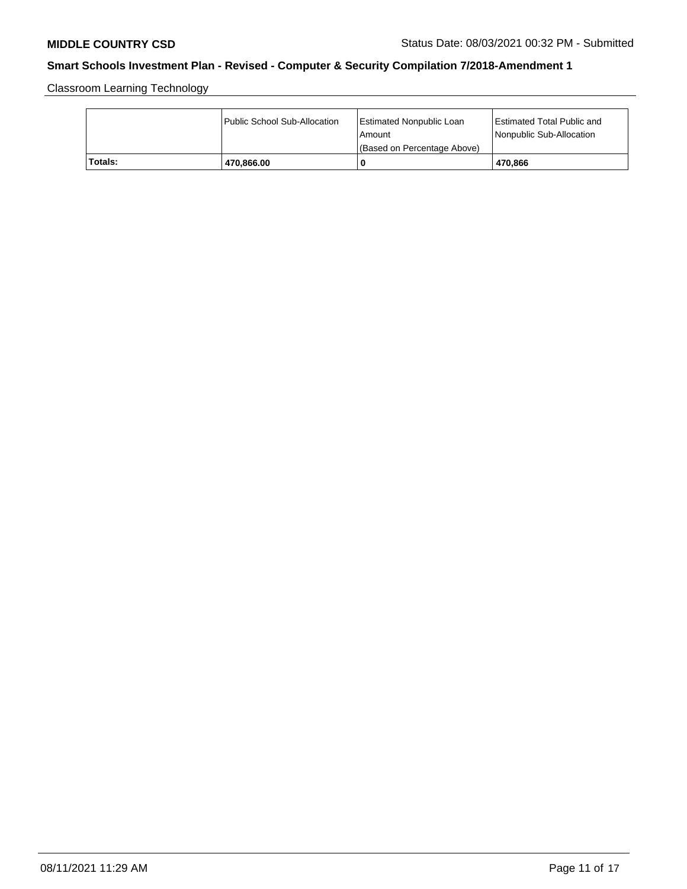Classroom Learning Technology

|         | Public School Sub-Allocation | <b>Estimated Nonpublic Loan</b><br>l Amount<br>(Based on Percentage Above) | <b>Estimated Total Public and</b><br>Nonpublic Sub-Allocation |
|---------|------------------------------|----------------------------------------------------------------------------|---------------------------------------------------------------|
| Totals: | 470,866.00                   | 0                                                                          | 470.866                                                       |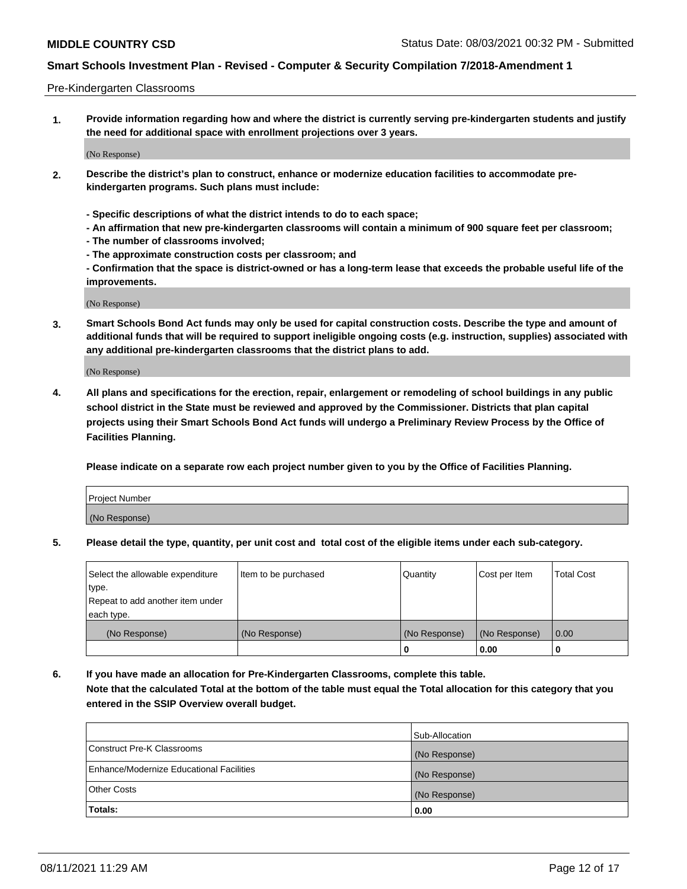#### Pre-Kindergarten Classrooms

**1. Provide information regarding how and where the district is currently serving pre-kindergarten students and justify the need for additional space with enrollment projections over 3 years.**

(No Response)

- **2. Describe the district's plan to construct, enhance or modernize education facilities to accommodate prekindergarten programs. Such plans must include:**
	- **Specific descriptions of what the district intends to do to each space;**
	- **An affirmation that new pre-kindergarten classrooms will contain a minimum of 900 square feet per classroom;**
	- **The number of classrooms involved;**
	- **The approximate construction costs per classroom; and**
	- **Confirmation that the space is district-owned or has a long-term lease that exceeds the probable useful life of the improvements.**

(No Response)

**3. Smart Schools Bond Act funds may only be used for capital construction costs. Describe the type and amount of additional funds that will be required to support ineligible ongoing costs (e.g. instruction, supplies) associated with any additional pre-kindergarten classrooms that the district plans to add.**

(No Response)

**4. All plans and specifications for the erection, repair, enlargement or remodeling of school buildings in any public school district in the State must be reviewed and approved by the Commissioner. Districts that plan capital projects using their Smart Schools Bond Act funds will undergo a Preliminary Review Process by the Office of Facilities Planning.**

**Please indicate on a separate row each project number given to you by the Office of Facilities Planning.**

| Project Number |  |
|----------------|--|
| (No Response)  |  |
|                |  |

**5. Please detail the type, quantity, per unit cost and total cost of the eligible items under each sub-category.**

| Select the allowable expenditure | Item to be purchased | Quantity      | Cost per Item | <b>Total Cost</b> |
|----------------------------------|----------------------|---------------|---------------|-------------------|
| type.                            |                      |               |               |                   |
| Repeat to add another item under |                      |               |               |                   |
| each type.                       |                      |               |               |                   |
| (No Response)                    | (No Response)        | (No Response) | (No Response) | 0.00              |
|                                  |                      | U             | 0.00          |                   |

**6. If you have made an allocation for Pre-Kindergarten Classrooms, complete this table. Note that the calculated Total at the bottom of the table must equal the Total allocation for this category that you entered in the SSIP Overview overall budget.**

| Totals:                                  | 0.00           |
|------------------------------------------|----------------|
| <b>Other Costs</b>                       | (No Response)  |
| Enhance/Modernize Educational Facilities | (No Response)  |
| Construct Pre-K Classrooms               | (No Response)  |
|                                          | Sub-Allocation |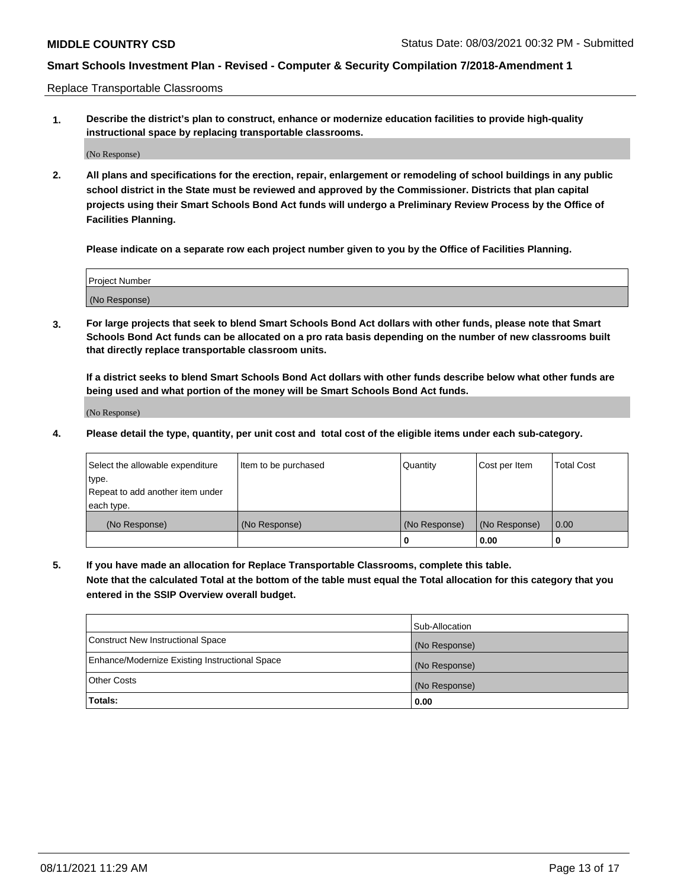Replace Transportable Classrooms

**1. Describe the district's plan to construct, enhance or modernize education facilities to provide high-quality instructional space by replacing transportable classrooms.**

(No Response)

**2. All plans and specifications for the erection, repair, enlargement or remodeling of school buildings in any public school district in the State must be reviewed and approved by the Commissioner. Districts that plan capital projects using their Smart Schools Bond Act funds will undergo a Preliminary Review Process by the Office of Facilities Planning.**

**Please indicate on a separate row each project number given to you by the Office of Facilities Planning.**

| Project Number |  |
|----------------|--|
|                |  |
| (No Response)  |  |

**3. For large projects that seek to blend Smart Schools Bond Act dollars with other funds, please note that Smart Schools Bond Act funds can be allocated on a pro rata basis depending on the number of new classrooms built that directly replace transportable classroom units.**

**If a district seeks to blend Smart Schools Bond Act dollars with other funds describe below what other funds are being used and what portion of the money will be Smart Schools Bond Act funds.**

(No Response)

**4. Please detail the type, quantity, per unit cost and total cost of the eligible items under each sub-category.**

| Select the allowable expenditure | Item to be purchased | Quantity      | Cost per Item | Total Cost |
|----------------------------------|----------------------|---------------|---------------|------------|
| ∣type.                           |                      |               |               |            |
| Repeat to add another item under |                      |               |               |            |
| each type.                       |                      |               |               |            |
| (No Response)                    | (No Response)        | (No Response) | (No Response) | 0.00       |
|                                  |                      | u             | 0.00          |            |

**5. If you have made an allocation for Replace Transportable Classrooms, complete this table. Note that the calculated Total at the bottom of the table must equal the Total allocation for this category that you entered in the SSIP Overview overall budget.**

|                                                | Sub-Allocation |
|------------------------------------------------|----------------|
| Construct New Instructional Space              | (No Response)  |
| Enhance/Modernize Existing Instructional Space | (No Response)  |
| Other Costs                                    | (No Response)  |
| Totals:                                        | 0.00           |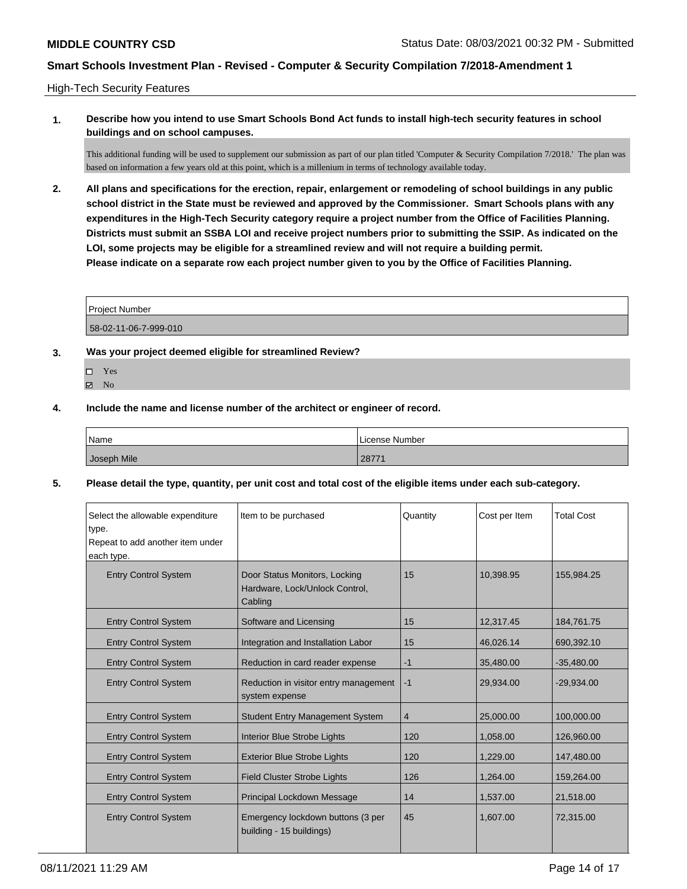### High-Tech Security Features

**1. Describe how you intend to use Smart Schools Bond Act funds to install high-tech security features in school buildings and on school campuses.**

This additional funding will be used to supplement our submission as part of our plan titled 'Computer & Security Compilation 7/2018.' The plan was based on information a few years old at this point, which is a millenium in terms of technology available today.

**2. All plans and specifications for the erection, repair, enlargement or remodeling of school buildings in any public school district in the State must be reviewed and approved by the Commissioner. Smart Schools plans with any expenditures in the High-Tech Security category require a project number from the Office of Facilities Planning. Districts must submit an SSBA LOI and receive project numbers prior to submitting the SSIP. As indicated on the LOI, some projects may be eligible for a streamlined review and will not require a building permit. Please indicate on a separate row each project number given to you by the Office of Facilities Planning.**

| <b>Project Number</b> |  |
|-----------------------|--|
|                       |  |

58-02-11-06-7-999-010

- **3. Was your project deemed eligible for streamlined Review?**
	- Yes
	- $\boxtimes$  No
- **4. Include the name and license number of the architect or engineer of record.**

| Name        | License Number |
|-------------|----------------|
| Joseph Mile | 2877           |

**5. Please detail the type, quantity, per unit cost and total cost of the eligible items under each sub-category.**

| Select the allowable expenditure<br>type.<br>Repeat to add another item under<br>each type. | Item to be purchased                                                       | Quantity | Cost per Item | <b>Total Cost</b> |
|---------------------------------------------------------------------------------------------|----------------------------------------------------------------------------|----------|---------------|-------------------|
| <b>Entry Control System</b>                                                                 | Door Status Monitors, Locking<br>Hardware, Lock/Unlock Control,<br>Cabling | 15       | 10,398.95     | 155,984.25        |
| <b>Entry Control System</b>                                                                 | Software and Licensing                                                     | 15       | 12,317.45     | 184,761.75        |
| <b>Entry Control System</b>                                                                 | Integration and Installation Labor                                         | 15       | 46,026.14     | 690,392.10        |
| <b>Entry Control System</b>                                                                 | Reduction in card reader expense                                           | $-1$     | 35,480.00     | $-35,480.00$      |
| <b>Entry Control System</b>                                                                 | Reduction in visitor entry management<br>system expense                    | $-1$     | 29,934.00     | $-29,934.00$      |
| <b>Entry Control System</b>                                                                 | <b>Student Entry Management System</b>                                     | 4        | 25,000.00     | 100,000.00        |
| <b>Entry Control System</b>                                                                 | Interior Blue Strobe Lights                                                | 120      | 1,058.00      | 126,960.00        |
| <b>Entry Control System</b>                                                                 | <b>Exterior Blue Strobe Lights</b>                                         | 120      | 1,229.00      | 147,480.00        |
| <b>Entry Control System</b>                                                                 | <b>Field Cluster Strobe Lights</b>                                         | 126      | 1,264.00      | 159,264.00        |
| <b>Entry Control System</b>                                                                 | Principal Lockdown Message                                                 | 14       | 1,537.00      | 21,518.00         |
| <b>Entry Control System</b>                                                                 | Emergency lockdown buttons (3 per<br>building - 15 buildings)              | 45       | 1.607.00      | 72,315.00         |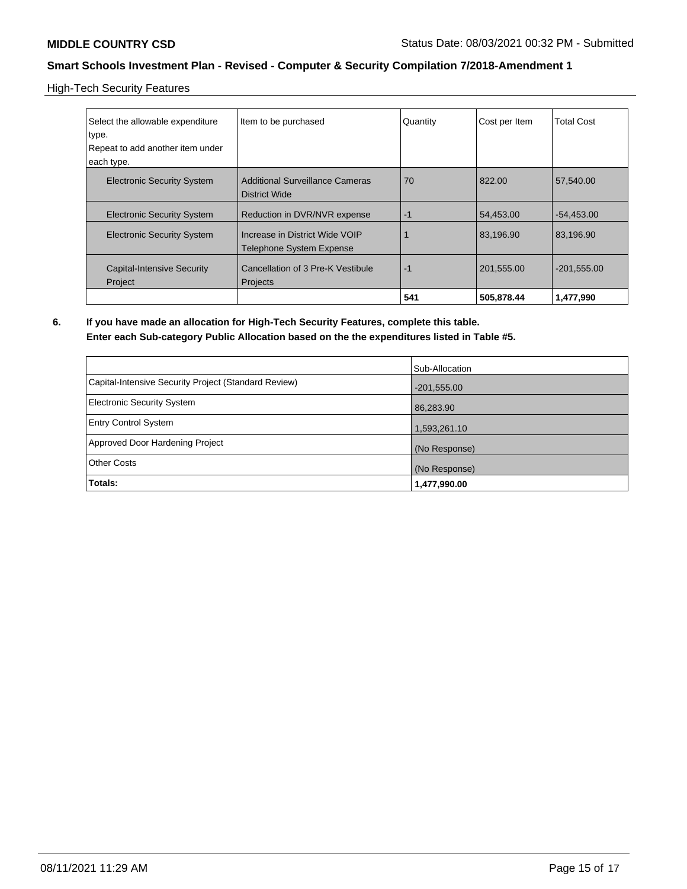High-Tech Security Features

| Select the allowable expenditure             | Item to be purchased                                              | Quantity | Cost per Item | <b>Total Cost</b> |
|----------------------------------------------|-------------------------------------------------------------------|----------|---------------|-------------------|
| type.                                        |                                                                   |          |               |                   |
| Repeat to add another item under             |                                                                   |          |               |                   |
| each type.                                   |                                                                   |          |               |                   |
| <b>Electronic Security System</b>            | <b>Additional Surveillance Cameras</b><br>District Wide           | 70       | 822.00        | 57,540.00         |
| <b>Electronic Security System</b>            | Reduction in DVR/NVR expense                                      | $-1$     | 54,453.00     | $-54,453.00$      |
| <b>Electronic Security System</b>            | Increase in District Wide VOIP<br><b>Telephone System Expense</b> |          | 83.196.90     | 83.196.90         |
| <b>Capital-Intensive Security</b><br>Project | Cancellation of 3 Pre-K Vestibule<br>Projects                     | -1       | 201,555.00    | $-201,555.00$     |
|                                              |                                                                   | 541      | 505,878.44    | 1,477,990         |

**6. If you have made an allocation for High-Tech Security Features, complete this table. Enter each Sub-category Public Allocation based on the the expenditures listed in Table #5.**

|                                                      | Sub-Allocation |
|------------------------------------------------------|----------------|
| Capital-Intensive Security Project (Standard Review) | $-201,555.00$  |
| Electronic Security System                           | 86,283.90      |
| <b>Entry Control System</b>                          | 1,593,261.10   |
| Approved Door Hardening Project                      | (No Response)  |
| <b>Other Costs</b>                                   | (No Response)  |
| <b>Totals:</b>                                       | 1,477,990.00   |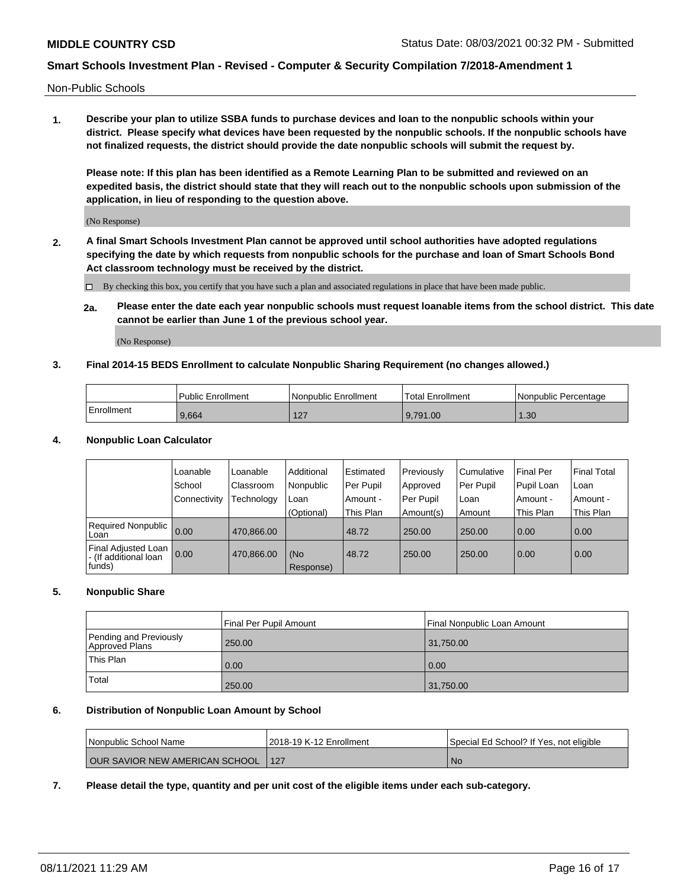Non-Public Schools

**1. Describe your plan to utilize SSBA funds to purchase devices and loan to the nonpublic schools within your district. Please specify what devices have been requested by the nonpublic schools. If the nonpublic schools have not finalized requests, the district should provide the date nonpublic schools will submit the request by.**

**Please note: If this plan has been identified as a Remote Learning Plan to be submitted and reviewed on an expedited basis, the district should state that they will reach out to the nonpublic schools upon submission of the application, in lieu of responding to the question above.**

(No Response)

**2. A final Smart Schools Investment Plan cannot be approved until school authorities have adopted regulations specifying the date by which requests from nonpublic schools for the purchase and loan of Smart Schools Bond Act classroom technology must be received by the district.**

By checking this box, you certify that you have such a plan and associated regulations in place that have been made public.

**2a. Please enter the date each year nonpublic schools must request loanable items from the school district. This date cannot be earlier than June 1 of the previous school year.**

(No Response)

#### **3. Final 2014-15 BEDS Enrollment to calculate Nonpublic Sharing Requirement (no changes allowed.)**

|              | <b>Public Enrollment</b> | <b>Nonpublic Enrollment</b> | Total Enrollment | Nonpublic Percentage |
|--------------|--------------------------|-----------------------------|------------------|----------------------|
| l Enrollment | 9,664                    | 127<br>$\mathsf{Z}$         | 9.791.00         | 1.30                 |

#### **4. Nonpublic Loan Calculator**

|                                                        | Loanable       | Loanable   | Additional       | l Estimated | Previously | l Cumulative | Final Per  | <b>Final Total</b> |
|--------------------------------------------------------|----------------|------------|------------------|-------------|------------|--------------|------------|--------------------|
|                                                        | School         | Classroom  | Nonpublic        | Per Pupil   | Approved   | Per Pupil    | Pupil Loan | Loan               |
|                                                        | l Connectivity | Technology | Loan             | Amount -    | Per Pupil  | Loan         | Amount -   | Amount -           |
|                                                        |                |            | (Optional)       | This Plan   | Amount(s)  | Amount       | This Plan  | This Plan          |
| Required Nonpublic 0.00<br>Loan                        |                | 470.866.00 |                  | 48.72       | 250.00     | 250.00       | 0.00       | 0.00               |
| Final Adjusted Loan<br>- (If additional loan<br>funds) | 0.00           | 470,866.00 | (No<br>Response) | 48.72       | 250.00     | 250.00       | 0.00       | 0.00               |

### **5. Nonpublic Share**

|                                          | Final Per Pupil Amount | Final Nonpublic Loan Amount |
|------------------------------------------|------------------------|-----------------------------|
| Pending and Previously<br>Approved Plans | 250.00                 | 31,750.00                   |
| This Plan                                | 0.00                   | 0.00                        |
| Total                                    | 250.00                 | 31,750.00                   |

### **6. Distribution of Nonpublic Loan Amount by School**

| l Nonpublic School Name              | 2018-19 K-12 Enrollment | Special Ed School? If Yes, not eligible |
|--------------------------------------|-------------------------|-----------------------------------------|
| OUR SAVIOR NEW AMERICAN SCHOOL   127 |                         | No.                                     |

**7. Please detail the type, quantity and per unit cost of the eligible items under each sub-category.**